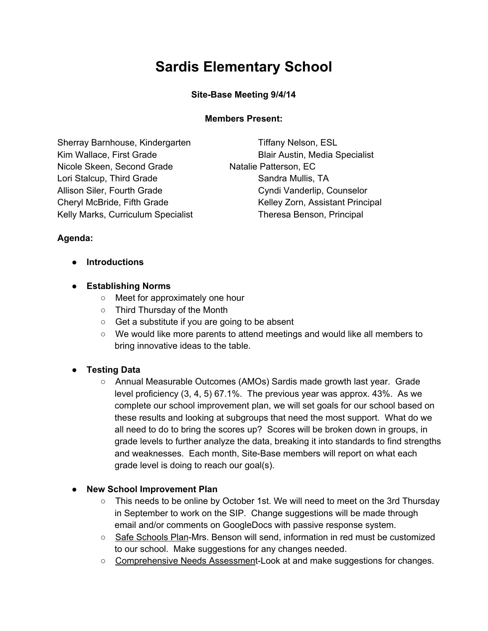# **Sardis Elementary School**

#### **Site-Base Meeting 9/4/14**

#### **Members Present:**

Sherray Barnhouse, Kindergarten Tiffany Nelson, ESL Kim Wallace, First Grade Blair Austin, Media Specialist Nicole Skeen, Second Grade Natalie Patterson, EC Lori Stalcup, Third Grade Sandra Mullis, TA Allison Siler, Fourth Grade Cyndi Vanderlip, Counselor Kelly Marks, Curriculum Specialist Theresa Benson, Principal

Cheryl McBride, Fifth Grade Kelley Zorn, Assistant Principal

## **Agenda:**

**● Introductions**

## **● Establishing Norms**

- Meet for approximately one hour
- Third Thursday of the Month
- Get a substitute if you are going to be absent
- We would like more parents to attend meetings and would like all members to bring innovative ideas to the table.

## **● Testing Data**

○ Annual Measurable Outcomes (AMOs) Sardis made growth last year. Grade level proficiency (3, 4, 5) 67.1%. The previous year was approx. 43%. As we complete our school improvement plan, we will set goals for our school based on these results and looking at subgroups that need the most support. What do we all need to do to bring the scores up? Scores will be broken down in groups, in grade levels to further analyze the data, breaking it into standards to find strengths and weaknesses. Each month, Site-Base members will report on what each grade level is doing to reach our goal(s).

## **● New School Improvement Plan**

- This needs to be online by October 1st. We will need to meet on the 3rd Thursday in September to work on the SIP. Change suggestions will be made through email and/or comments on GoogleDocs with passive response system.
- Safe Schools Plan-Mrs. Benson will send, information in red must be customized to our school. Make suggestions for any changes needed.
- Comprehensive Needs Assessment-Look at and make suggestions for changes.